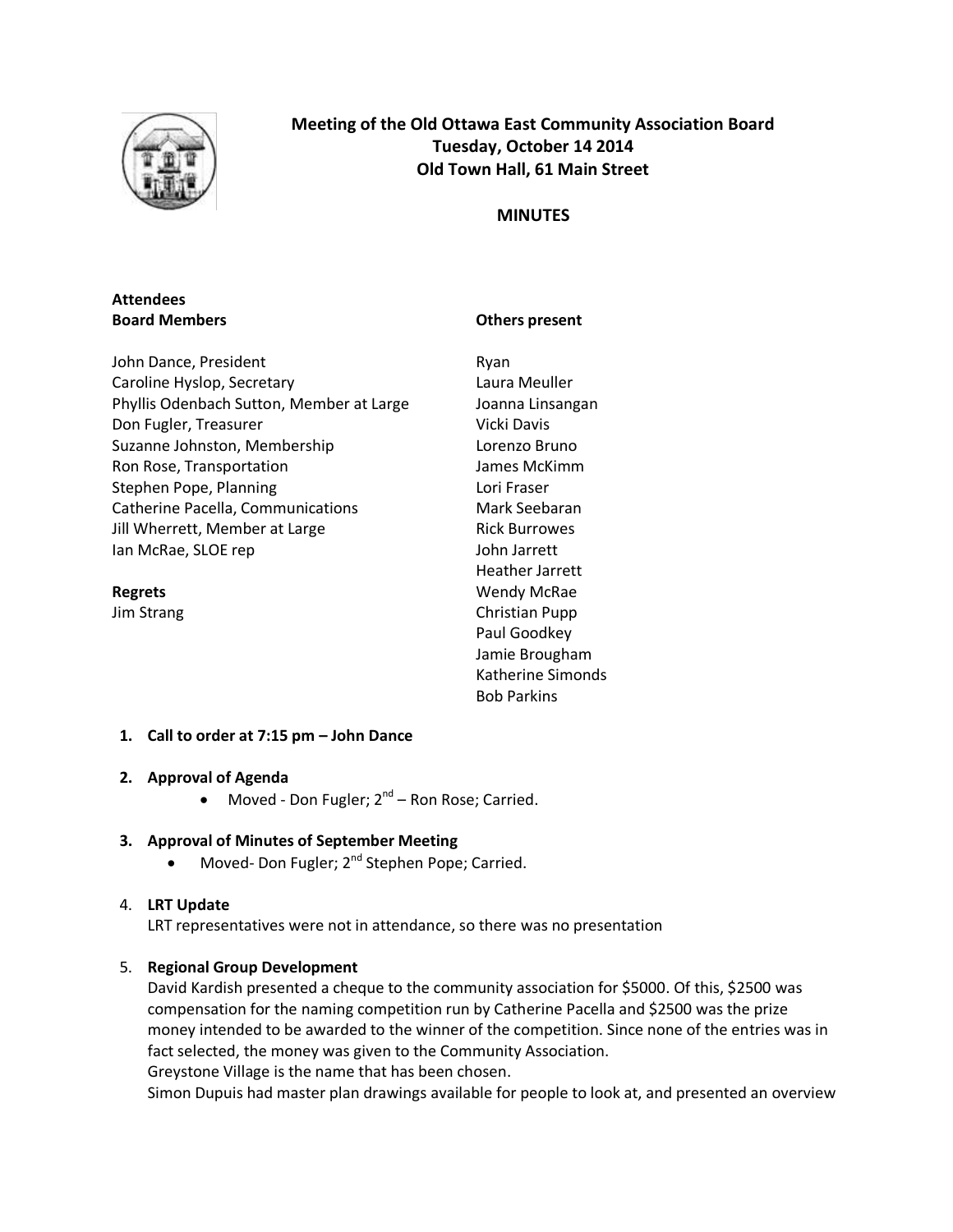

**Meeting of the Old Ottawa East Community Association Board Tuesday, October 14 2014 Old Town Hall, 61 Main Street**

## **MINUTES**

## **Attendees Board Members**

## **Others present**

John Dance, President Caroline Hyslop, Secretary Phyllis Odenbach Sutton, Member at Large Don Fugler, Treasurer Suzanne Johnston, Membership Ron Rose, Transportation Stephen Pope, Planning Catherine Pacella, Communications Jill Wherrett, Member at Large Ian McRae, SLOE rep

#### **Regrets**

Jim Strang

Ryan Laura Meuller Joanna Linsangan Vicki Davis Lorenzo Bruno James McKimm Lori Fraser Mark Seebaran Rick Burrowes John Jarrett Heather Jarrett Wendy McRae Christian Pupp Paul Goodkey Jamie Brougham Katherine Simonds Bob Parkins

## **1. Call to order at 7:15 pm – John Dance**

## **2. Approval of Agenda**

 $\bullet$  Moved - Don Fugler;  $2^{nd}$  – Ron Rose; Carried.

## **3. Approval of Minutes of September Meeting**

• Moved- Don Fugler; 2<sup>nd</sup> Stephen Pope; Carried.

## 4. **LRT Update**

LRT representatives were not in attendance, so there was no presentation

## 5. **Regional Group Development**

David Kardish presented a cheque to the community association for \$5000. Of this, \$2500 was compensation for the naming competition run by Catherine Pacella and \$2500 was the prize money intended to be awarded to the winner of the competition. Since none of the entries was in fact selected, the money was given to the Community Association. Greystone Village is the name that has been chosen.

Simon Dupuis had master plan drawings available for people to look at, and presented an overview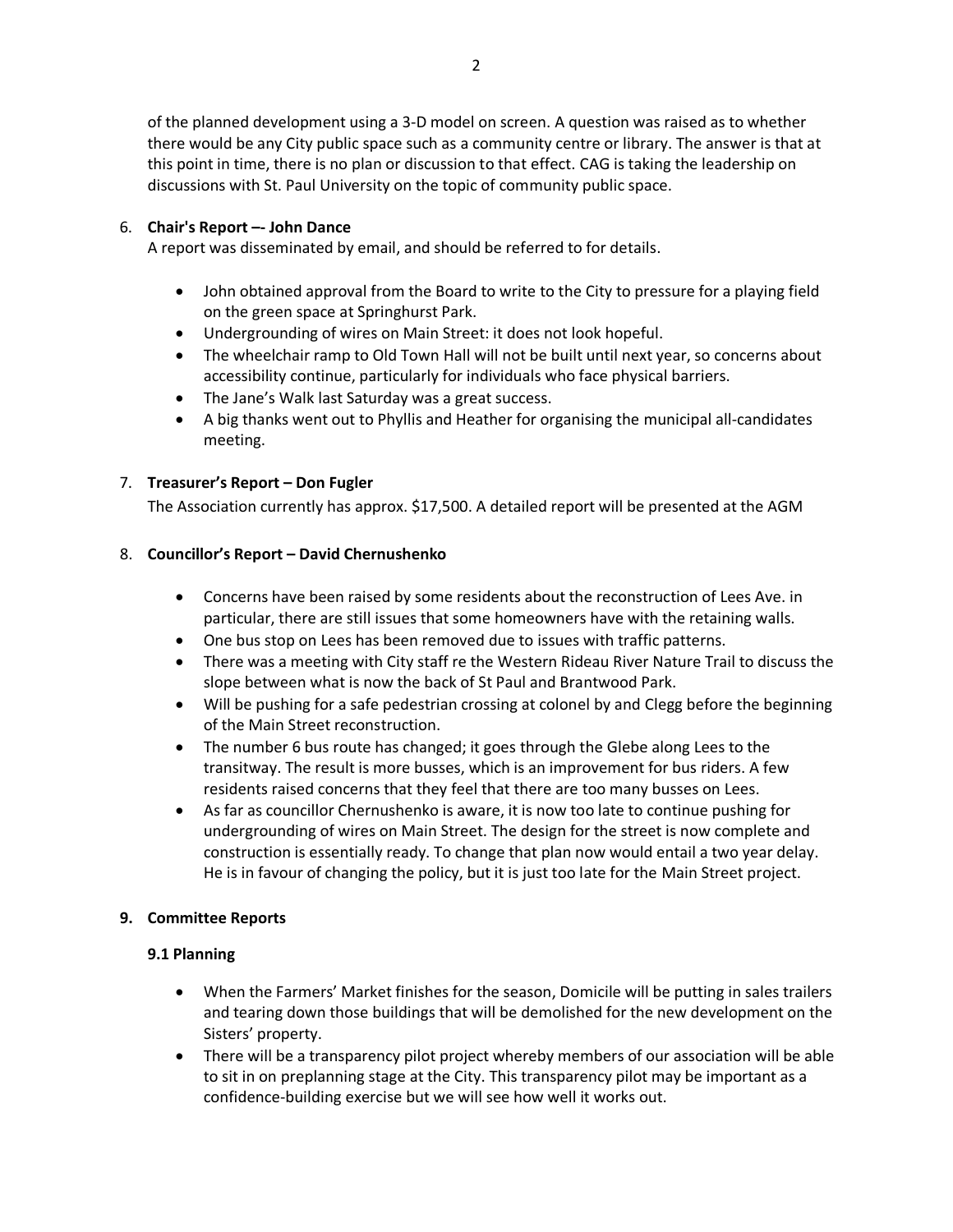of the planned development using a 3-D model on screen. A question was raised as to whether there would be any City public space such as a community centre or library. The answer is that at this point in time, there is no plan or discussion to that effect. CAG is taking the leadership on discussions with St. Paul University on the topic of community public space.

## 6. **Chair's Report –- John Dance**

A report was disseminated by email, and should be referred to for details.

- John obtained approval from the Board to write to the City to pressure for a playing field on the green space at Springhurst Park.
- Undergrounding of wires on Main Street: it does not look hopeful.
- The wheelchair ramp to Old Town Hall will not be built until next year, so concerns about accessibility continue, particularly for individuals who face physical barriers.
- The Jane's Walk last Saturday was a great success.
- A big thanks went out to Phyllis and Heather for organising the municipal all-candidates meeting.

## 7. **Treasurer's Report – Don Fugler**

The Association currently has approx. \$17,500. A detailed report will be presented at the AGM

## 8. **Councillor's Report – David Chernushenko**

- Concerns have been raised by some residents about the reconstruction of Lees Ave. in particular, there are still issues that some homeowners have with the retaining walls.
- One bus stop on Lees has been removed due to issues with traffic patterns.
- There was a meeting with City staff re the Western Rideau River Nature Trail to discuss the slope between what is now the back of St Paul and Brantwood Park.
- Will be pushing for a safe pedestrian crossing at colonel by and Clegg before the beginning of the Main Street reconstruction.
- The number 6 bus route has changed; it goes through the Glebe along Lees to the transitway. The result is more busses, which is an improvement for bus riders. A few residents raised concerns that they feel that there are too many busses on Lees.
- As far as councillor Chernushenko is aware, it is now too late to continue pushing for undergrounding of wires on Main Street. The design for the street is now complete and construction is essentially ready. To change that plan now would entail a two year delay. He is in favour of changing the policy, but it is just too late for the Main Street project.

## **9. Committee Reports**

## **9.1 Planning**

- When the Farmers' Market finishes for the season, Domicile will be putting in sales trailers and tearing down those buildings that will be demolished for the new development on the Sisters' property.
- There will be a transparency pilot project whereby members of our association will be able to sit in on preplanning stage at the City. This transparency pilot may be important as a confidence-building exercise but we will see how well it works out.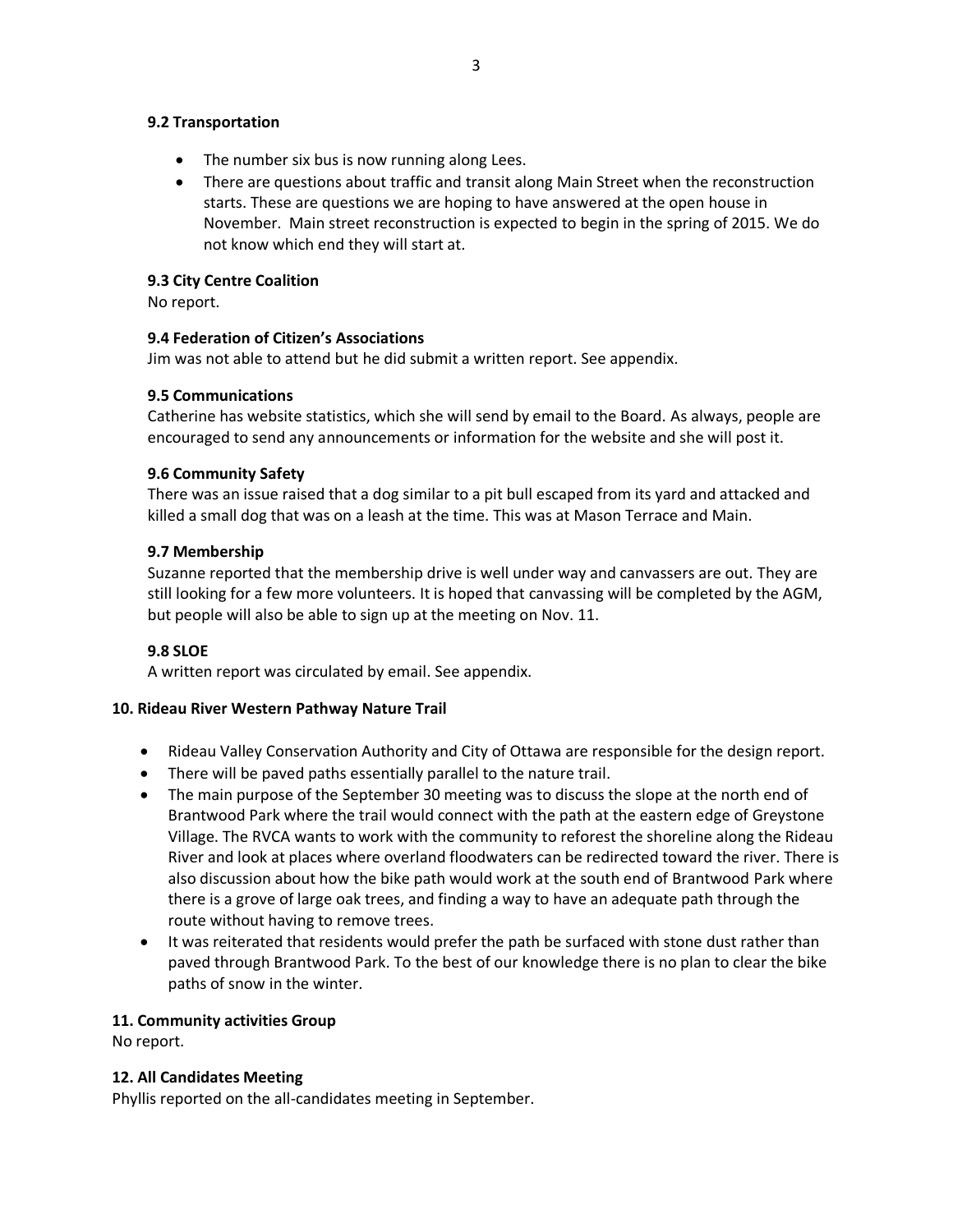#### **9.2 Transportation**

- The number six bus is now running along Lees.
- There are questions about traffic and transit along Main Street when the reconstruction starts. These are questions we are hoping to have answered at the open house in November. Main street reconstruction is expected to begin in the spring of 2015. We do not know which end they will start at.

## **9.3 City Centre Coalition**

No report.

## **9.4 Federation of Citizen's Associations**

Jim was not able to attend but he did submit a written report. See appendix.

## **9.5 Communications**

Catherine has website statistics, which she will send by email to the Board. As always, people are encouraged to send any announcements or information for the website and she will post it.

## **9.6 Community Safety**

There was an issue raised that a dog similar to a pit bull escaped from its yard and attacked and killed a small dog that was on a leash at the time. This was at Mason Terrace and Main.

## **9.7 Membership**

Suzanne reported that the membership drive is well under way and canvassers are out. They are still looking for a few more volunteers. It is hoped that canvassing will be completed by the AGM, but people will also be able to sign up at the meeting on Nov. 11.

## **9.8 SLOE**

A written report was circulated by email. See appendix.

## **10. Rideau River Western Pathway Nature Trail**

- Rideau Valley Conservation Authority and City of Ottawa are responsible for the design report.
- There will be paved paths essentially parallel to the nature trail.
- The main purpose of the September 30 meeting was to discuss the slope at the north end of Brantwood Park where the trail would connect with the path at the eastern edge of Greystone Village. The RVCA wants to work with the community to reforest the shoreline along the Rideau River and look at places where overland floodwaters can be redirected toward the river. There is also discussion about how the bike path would work at the south end of Brantwood Park where there is a grove of large oak trees, and finding a way to have an adequate path through the route without having to remove trees.
- It was reiterated that residents would prefer the path be surfaced with stone dust rather than paved through Brantwood Park. To the best of our knowledge there is no plan to clear the bike paths of snow in the winter.

## **11. Community activities Group**

No report.

## **12. All Candidates Meeting**

Phyllis reported on the all-candidates meeting in September.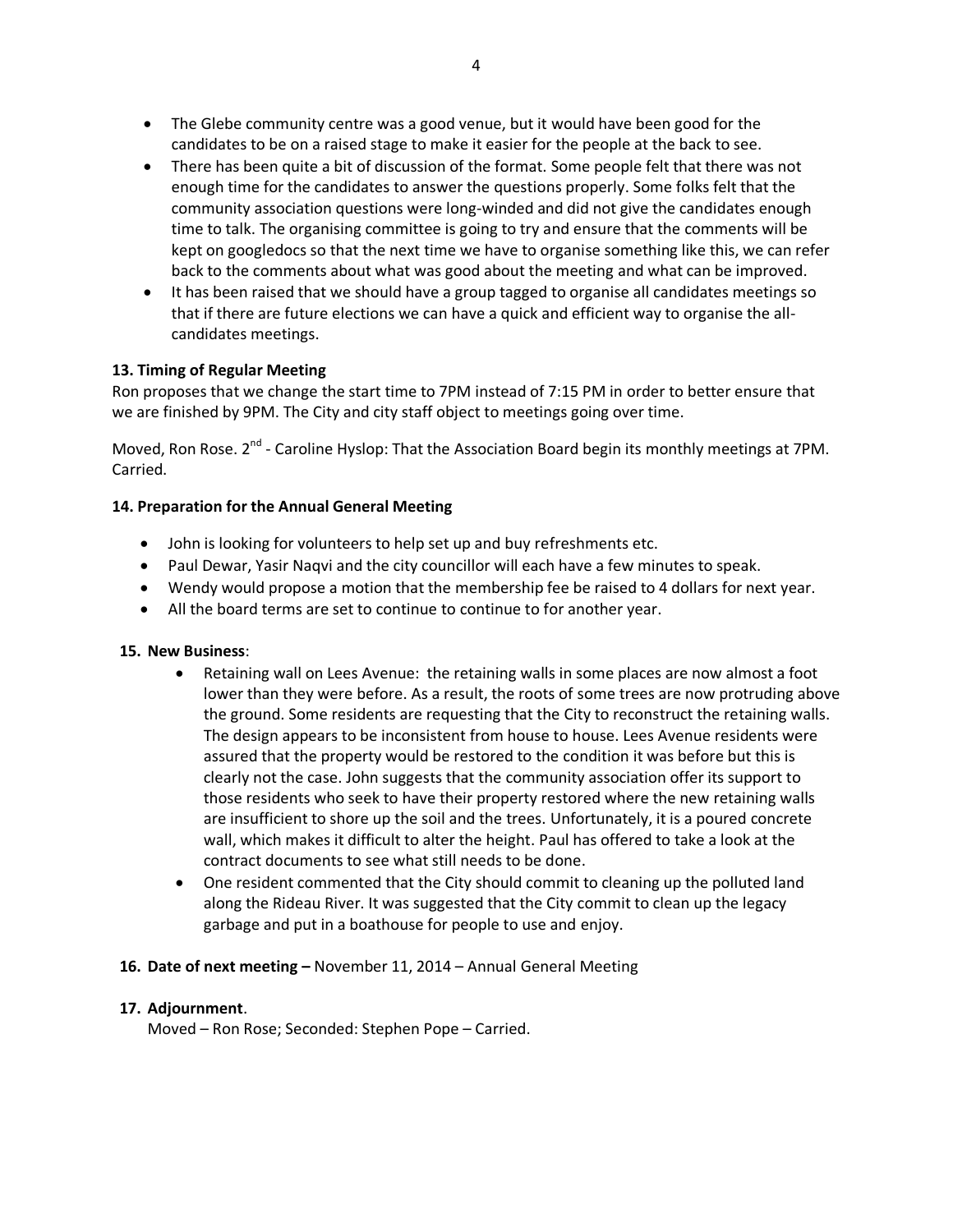- The Glebe community centre was a good venue, but it would have been good for the candidates to be on a raised stage to make it easier for the people at the back to see.
- There has been quite a bit of discussion of the format. Some people felt that there was not enough time for the candidates to answer the questions properly. Some folks felt that the community association questions were long-winded and did not give the candidates enough time to talk. The organising committee is going to try and ensure that the comments will be kept on googledocs so that the next time we have to organise something like this, we can refer back to the comments about what was good about the meeting and what can be improved.
- It has been raised that we should have a group tagged to organise all candidates meetings so that if there are future elections we can have a quick and efficient way to organise the allcandidates meetings.

## **13. Timing of Regular Meeting**

Ron proposes that we change the start time to 7PM instead of 7:15 PM in order to better ensure that we are finished by 9PM. The City and city staff object to meetings going over time.

Moved, Ron Rose. 2<sup>nd</sup> - Caroline Hyslop: That the Association Board begin its monthly meetings at 7PM. Carried.

## **14. Preparation for the Annual General Meeting**

- John is looking for volunteers to help set up and buy refreshments etc.
- Paul Dewar, Yasir Naqvi and the city councillor will each have a few minutes to speak.
- Wendy would propose a motion that the membership fee be raised to 4 dollars for next year.
- All the board terms are set to continue to continue to for another year.

## **15. New Business**:

- Retaining wall on Lees Avenue: the retaining walls in some places are now almost a foot lower than they were before. As a result, the roots of some trees are now protruding above the ground. Some residents are requesting that the City to reconstruct the retaining walls. The design appears to be inconsistent from house to house. Lees Avenue residents were assured that the property would be restored to the condition it was before but this is clearly not the case. John suggests that the community association offer its support to those residents who seek to have their property restored where the new retaining walls are insufficient to shore up the soil and the trees. Unfortunately, it is a poured concrete wall, which makes it difficult to alter the height. Paul has offered to take a look at the contract documents to see what still needs to be done.
- One resident commented that the City should commit to cleaning up the polluted land along the Rideau River. It was suggested that the City commit to clean up the legacy garbage and put in a boathouse for people to use and enjoy.
- **16. Date of next meeting –** November 11, 2014 Annual General Meeting

## **17. Adjournment**.

Moved – Ron Rose; Seconded: Stephen Pope – Carried.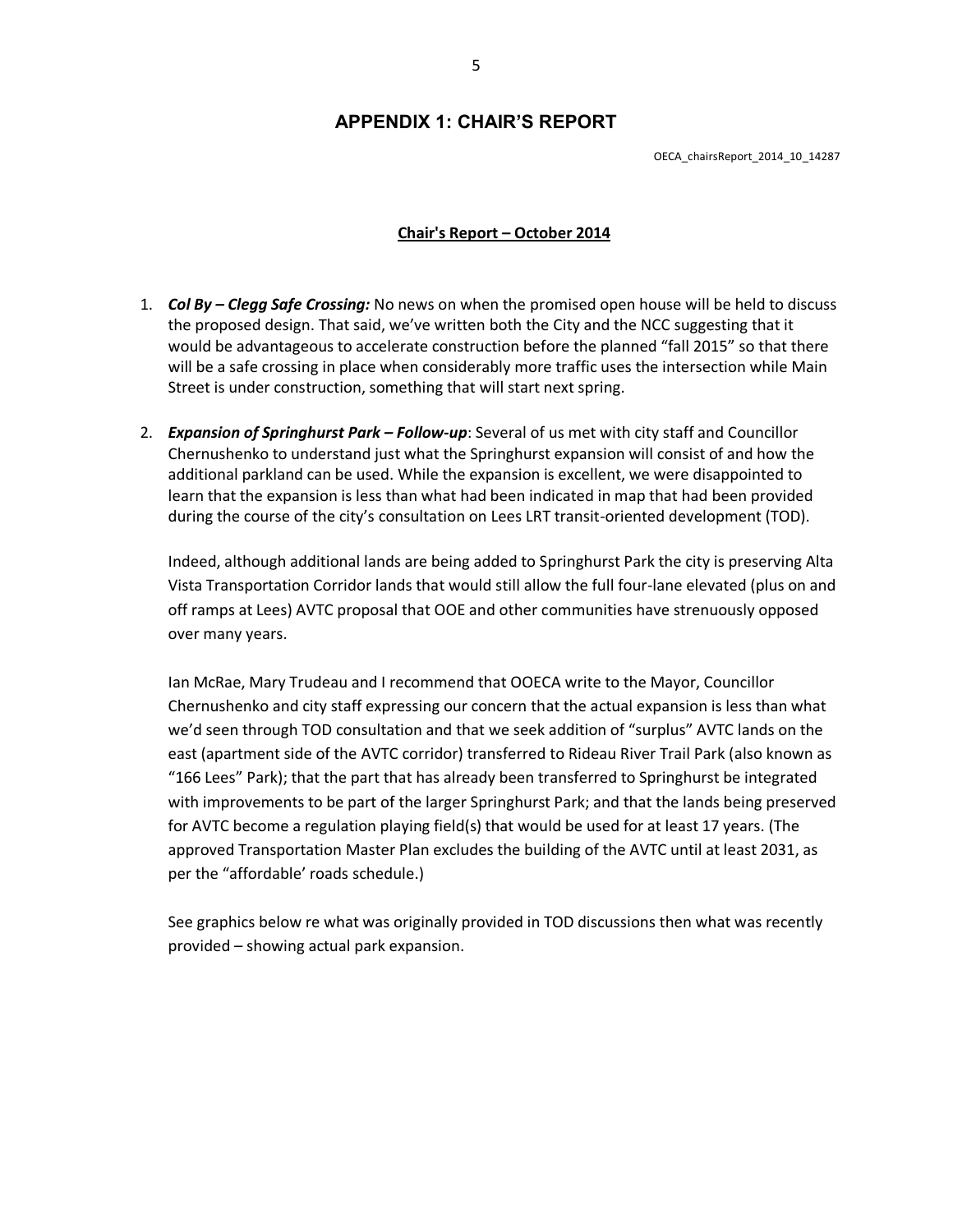## **APPENDIX 1: CHAIR'S REPORT**

OECA\_chairsReport\_2014\_10\_14287

#### **Chair's Report – October 2014**

- 1. *Col By – Clegg Safe Crossing:* No news on when the promised open house will be held to discuss the proposed design. That said, we've written both the City and the NCC suggesting that it would be advantageous to accelerate construction before the planned "fall 2015" so that there will be a safe crossing in place when considerably more traffic uses the intersection while Main Street is under construction, something that will start next spring.
- 2. *Expansion of Springhurst Park – Follow-up*: Several of us met with city staff and Councillor Chernushenko to understand just what the Springhurst expansion will consist of and how the additional parkland can be used. While the expansion is excellent, we were disappointed to learn that the expansion is less than what had been indicated in map that had been provided during the course of the city's consultation on Lees LRT transit-oriented development (TOD).

Indeed, although additional lands are being added to Springhurst Park the city is preserving Alta Vista Transportation Corridor lands that would still allow the full four-lane elevated (plus on and off ramps at Lees) AVTC proposal that OOE and other communities have strenuously opposed over many years.

Ian McRae, Mary Trudeau and I recommend that OOECA write to the Mayor, Councillor Chernushenko and city staff expressing our concern that the actual expansion is less than what we'd seen through TOD consultation and that we seek addition of "surplus" AVTC lands on the east (apartment side of the AVTC corridor) transferred to Rideau River Trail Park (also known as "166 Lees" Park); that the part that has already been transferred to Springhurst be integrated with improvements to be part of the larger Springhurst Park; and that the lands being preserved for AVTC become a regulation playing field(s) that would be used for at least 17 years. (The approved Transportation Master Plan excludes the building of the AVTC until at least 2031, as per the "affordable' roads schedule.)

See graphics below re what was originally provided in TOD discussions then what was recently provided – showing actual park expansion.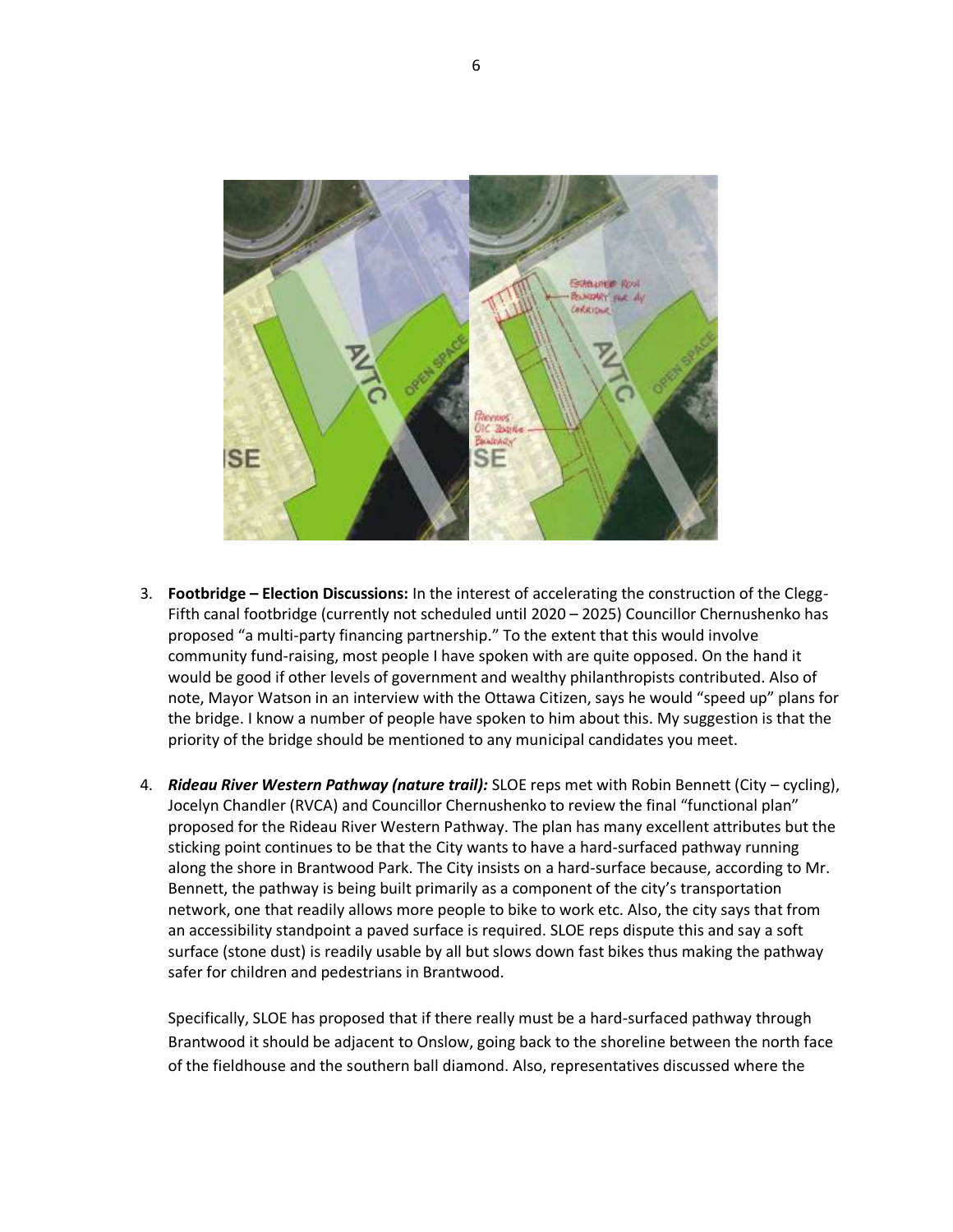

- 3. **Footbridge – Election Discussions:** In the interest of accelerating the construction of the Clegg-Fifth canal footbridge (currently not scheduled until 2020 – 2025) Councillor Chernushenko has proposed "a multi-party financing partnership." To the extent that this would involve community fund-raising, most people I have spoken with are quite opposed. On the hand it would be good if other levels of government and wealthy philanthropists contributed. Also of note, Mayor Watson in an interview with the Ottawa Citizen, says he would "speed up" plans for the bridge. I know a number of people have spoken to him about this. My suggestion is that the priority of the bridge should be mentioned to any municipal candidates you meet.
- 4. *Rideau River Western Pathway (nature trail):* SLOE reps met with Robin Bennett (City cycling), Jocelyn Chandler (RVCA) and Councillor Chernushenko to review the final "functional plan" proposed for the Rideau River Western Pathway. The plan has many excellent attributes but the sticking point continues to be that the City wants to have a hard-surfaced pathway running along the shore in Brantwood Park. The City insists on a hard-surface because, according to Mr. Bennett, the pathway is being built primarily as a component of the city's transportation network, one that readily allows more people to bike to work etc. Also, the city says that from an accessibility standpoint a paved surface is required. SLOE reps dispute this and say a soft surface (stone dust) is readily usable by all but slows down fast bikes thus making the pathway safer for children and pedestrians in Brantwood.

Specifically, SLOE has proposed that if there really must be a hard-surfaced pathway through Brantwood it should be adjacent to Onslow, going back to the shoreline between the north face of the fieldhouse and the southern ball diamond. Also, representatives discussed where the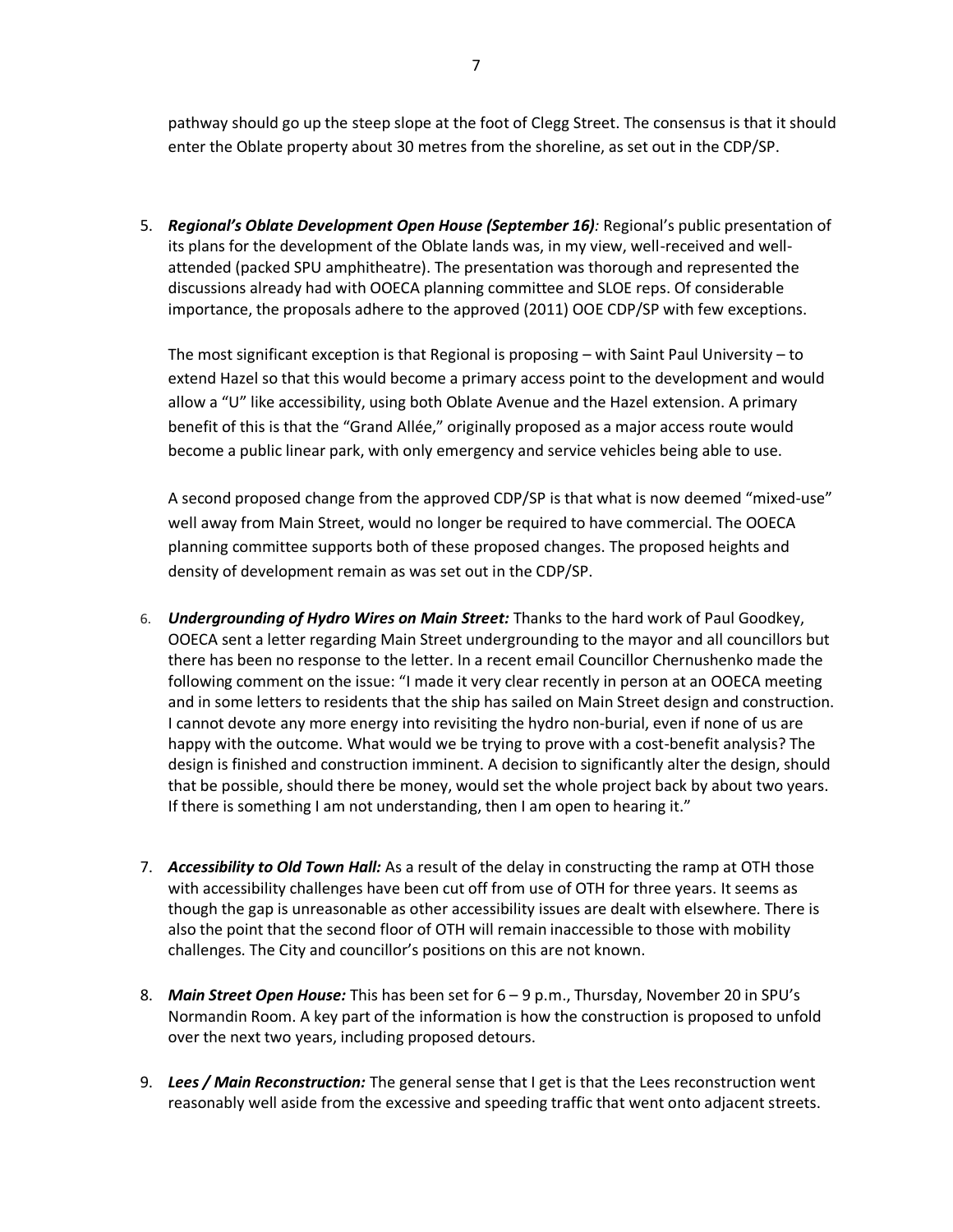pathway should go up the steep slope at the foot of Clegg Street. The consensus is that it should enter the Oblate property about 30 metres from the shoreline, as set out in the CDP/SP.

5. *Regional's Oblate Development Open House (September 16):* Regional's public presentation of its plans for the development of the Oblate lands was, in my view, well-received and wellattended (packed SPU amphitheatre). The presentation was thorough and represented the discussions already had with OOECA planning committee and SLOE reps. Of considerable importance, the proposals adhere to the approved (2011) OOE CDP/SP with few exceptions.

The most significant exception is that Regional is proposing – with Saint Paul University – to extend Hazel so that this would become a primary access point to the development and would allow a "U" like accessibility, using both Oblate Avenue and the Hazel extension. A primary benefit of this is that the "Grand Allée," originally proposed as a major access route would become a public linear park, with only emergency and service vehicles being able to use.

A second proposed change from the approved CDP/SP is that what is now deemed "mixed-use" well away from Main Street, would no longer be required to have commercial. The OOECA planning committee supports both of these proposed changes. The proposed heights and density of development remain as was set out in the CDP/SP.

- 6. *Undergrounding of Hydro Wires on Main Street:* Thanks to the hard work of Paul Goodkey, OOECA sent a letter regarding Main Street undergrounding to the mayor and all councillors but there has been no response to the letter. In a recent email Councillor Chernushenko made the following comment on the issue: "I made it very clear recently in person at an OOECA meeting and in some letters to residents that the ship has sailed on Main Street design and construction. I cannot devote any more energy into revisiting the hydro non-burial, even if none of us are happy with the outcome. What would we be trying to prove with a cost-benefit analysis? The design is finished and construction imminent. A decision to significantly alter the design, should that be possible, should there be money, would set the whole project back by about two years. If there is something I am not understanding, then I am open to hearing it."
- 7. *Accessibility to Old Town Hall:* As a result of the delay in constructing the ramp at OTH those with accessibility challenges have been cut off from use of OTH for three years. It seems as though the gap is unreasonable as other accessibility issues are dealt with elsewhere. There is also the point that the second floor of OTH will remain inaccessible to those with mobility challenges. The City and councillor's positions on this are not known.
- 8. *Main Street Open House:* This has been set for 6 9 p.m., Thursday, November 20 in SPU's Normandin Room. A key part of the information is how the construction is proposed to unfold over the next two years, including proposed detours.
- 9. *Lees / Main Reconstruction:* The general sense that I get is that the Lees reconstruction went reasonably well aside from the excessive and speeding traffic that went onto adjacent streets.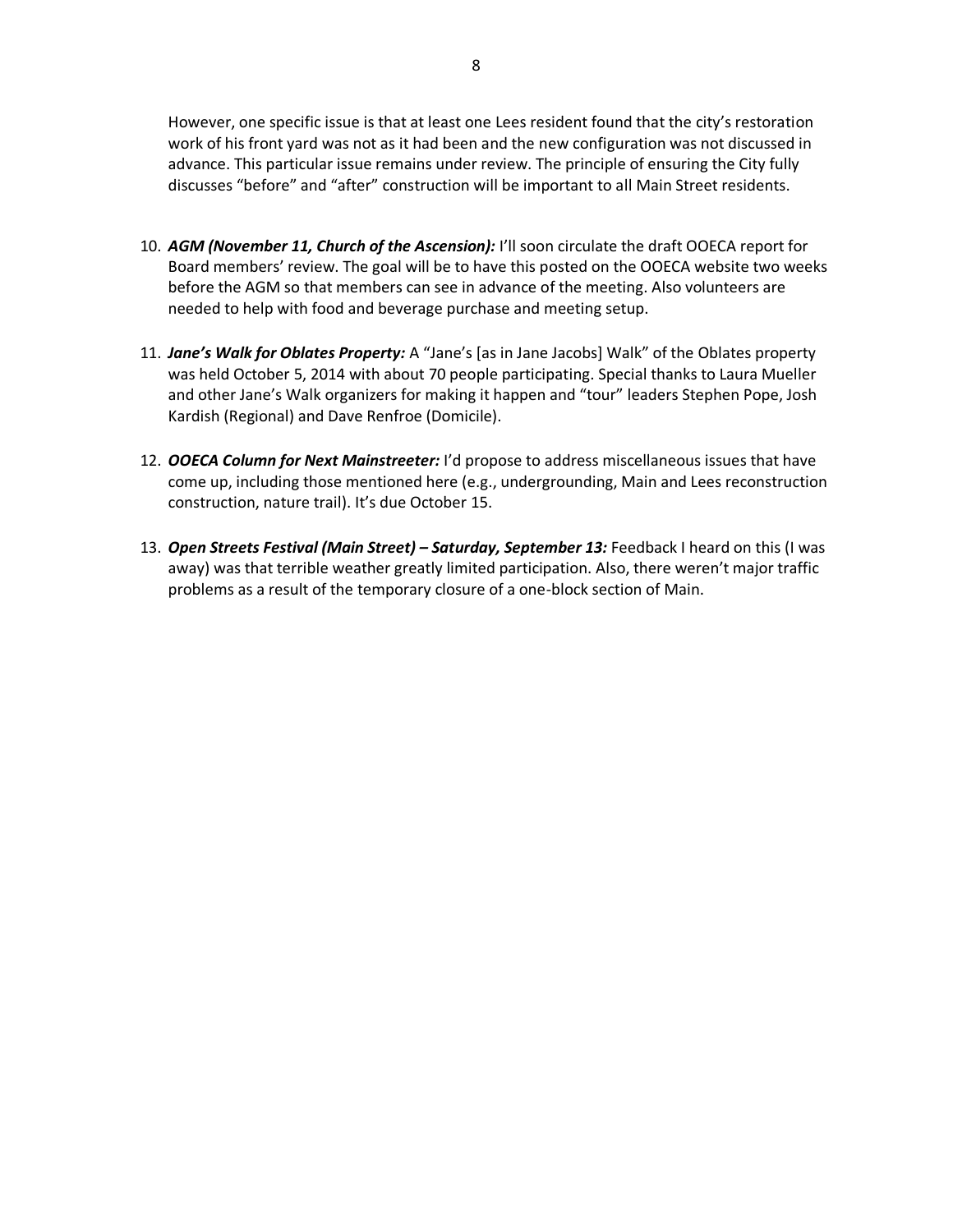However, one specific issue is that at least one Lees resident found that the city's restoration work of his front yard was not as it had been and the new configuration was not discussed in advance. This particular issue remains under review. The principle of ensuring the City fully discusses "before" and "after" construction will be important to all Main Street residents.

- 10. *AGM (November 11, Church of the Ascension):* I'll soon circulate the draft OOECA report for Board members' review. The goal will be to have this posted on the OOECA website two weeks before the AGM so that members can see in advance of the meeting. Also volunteers are needed to help with food and beverage purchase and meeting setup.
- 11. *Jane's Walk for Oblates Property:* A "Jane's [as in Jane Jacobs] Walk" of the Oblates property was held October 5, 2014 with about 70 people participating. Special thanks to Laura Mueller and other Jane's Walk organizers for making it happen and "tour" leaders Stephen Pope, Josh Kardish (Regional) and Dave Renfroe (Domicile).
- 12. *OOECA Column for Next Mainstreeter:* I'd propose to address miscellaneous issues that have come up, including those mentioned here (e.g., undergrounding, Main and Lees reconstruction construction, nature trail). It's due October 15.
- 13. *Open Streets Festival (Main Street) – Saturday, September 13:* Feedback I heard on this (I was away) was that terrible weather greatly limited participation. Also, there weren't major traffic problems as a result of the temporary closure of a one-block section of Main.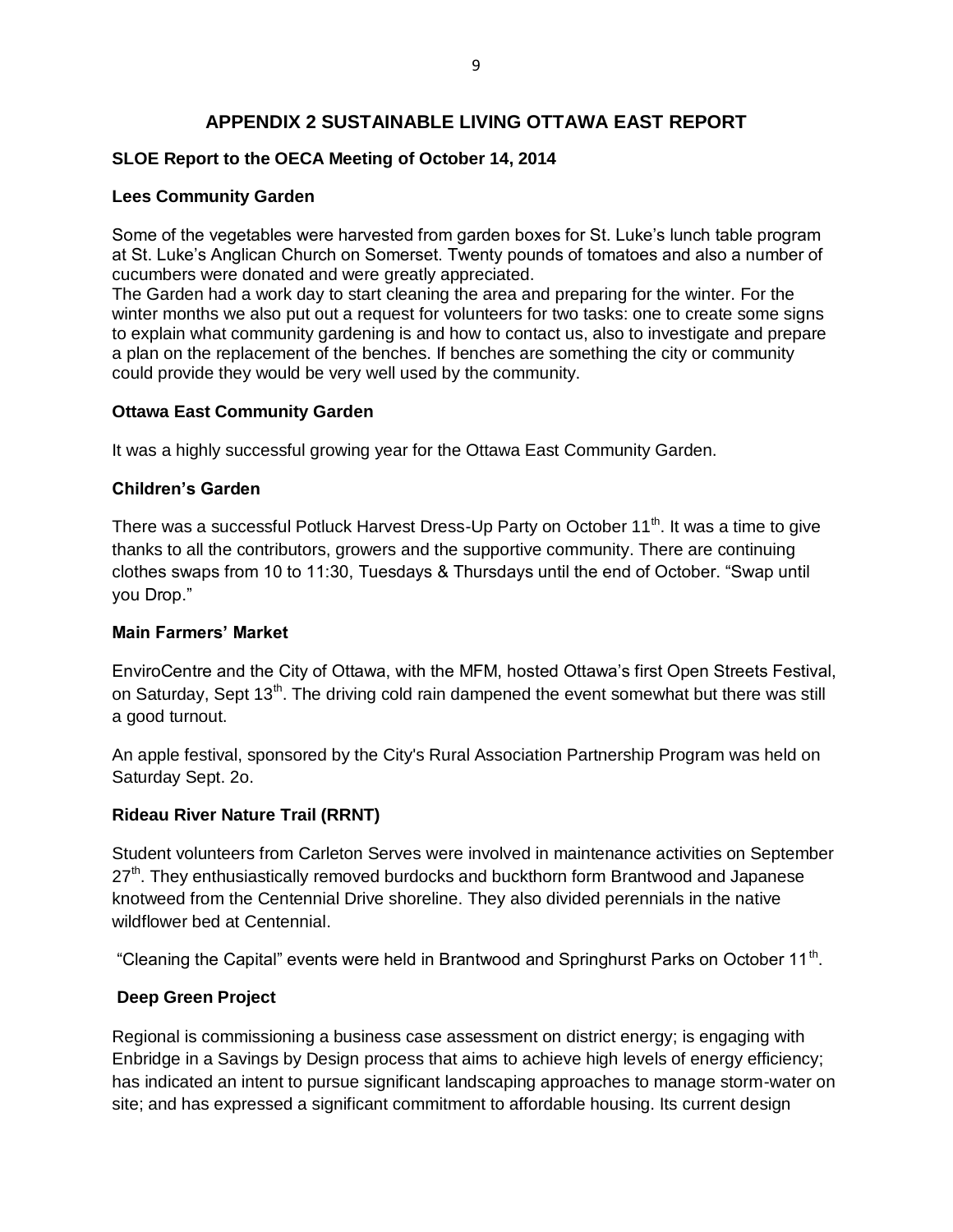# **APPENDIX 2 SUSTAINABLE LIVING OTTAWA EAST REPORT**

## **SLOE Report to the OECA Meeting of October 14, 2014**

## **Lees Community Garden**

Some of the vegetables were harvested from garden boxes for St. Luke's lunch table program at St. Luke's Anglican Church on Somerset. Twenty pounds of tomatoes and also a number of cucumbers were donated and were greatly appreciated.

The Garden had a work day to start cleaning the area and preparing for the winter. For the winter months we also put out a request for volunteers for two tasks: one to create some signs to explain what community gardening is and how to contact us, also to investigate and prepare a plan on the replacement of the benches. If benches are something the city or community could provide they would be very well used by the community.

## **Ottawa East Community Garden**

It was a highly successful growing year for the Ottawa East Community Garden.

## **Children's Garden**

There was a successful Potluck Harvest Dress-Up Party on October 11<sup>th</sup>. It was a time to give thanks to all the contributors, growers and the supportive community. There are continuing clothes swaps from 10 to 11:30, Tuesdays & Thursdays until the end of October. "Swap until you Drop."

## **Main Farmers' Market**

EnviroCentre and the City of Ottawa, with the MFM, hosted Ottawa's first Open Streets Festival, on Saturday, Sept 13<sup>th</sup>. The driving cold rain dampened the event somewhat but there was still a good turnout.

An apple festival, sponsored by the City's Rural Association Partnership Program was held on Saturday Sept. 2o.

## **Rideau River Nature Trail (RRNT)**

Student volunteers from Carleton Serves were involved in maintenance activities on September 27<sup>th</sup>. They enthusiastically removed burdocks and buckthorn form Brantwood and Japanese knotweed from the Centennial Drive shoreline. They also divided perennials in the native wildflower bed at Centennial.

"Cleaning the Capital" events were held in Brantwood and Springhurst Parks on October 11<sup>th</sup>.

## **Deep Green Project**

Regional is commissioning a business case assessment on district energy; is engaging with Enbridge in a Savings by Design process that aims to achieve high levels of energy efficiency; has indicated an intent to pursue significant landscaping approaches to manage storm-water on site; and has expressed a significant commitment to affordable housing. Its current design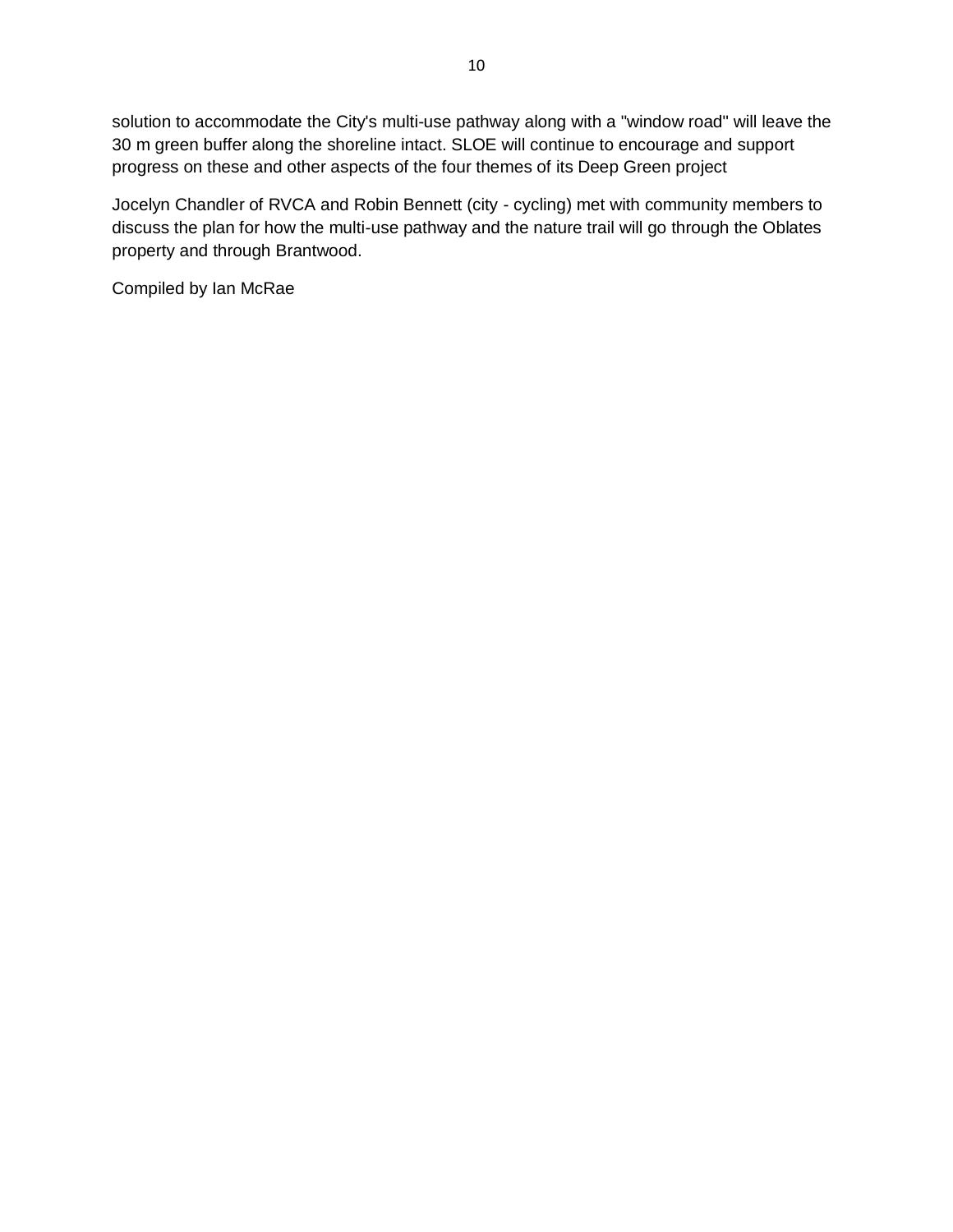solution to accommodate the City's multi-use pathway along with a "window road" will leave the 30 m green buffer along the shoreline intact. SLOE will continue to encourage and support progress on these and other aspects of the four themes of its Deep Green project

Jocelyn Chandler of RVCA and Robin Bennett (city - cycling) met with community members to discuss the plan for how the multi-use pathway and the nature trail will go through the Oblates property and through Brantwood.

Compiled by Ian McRae